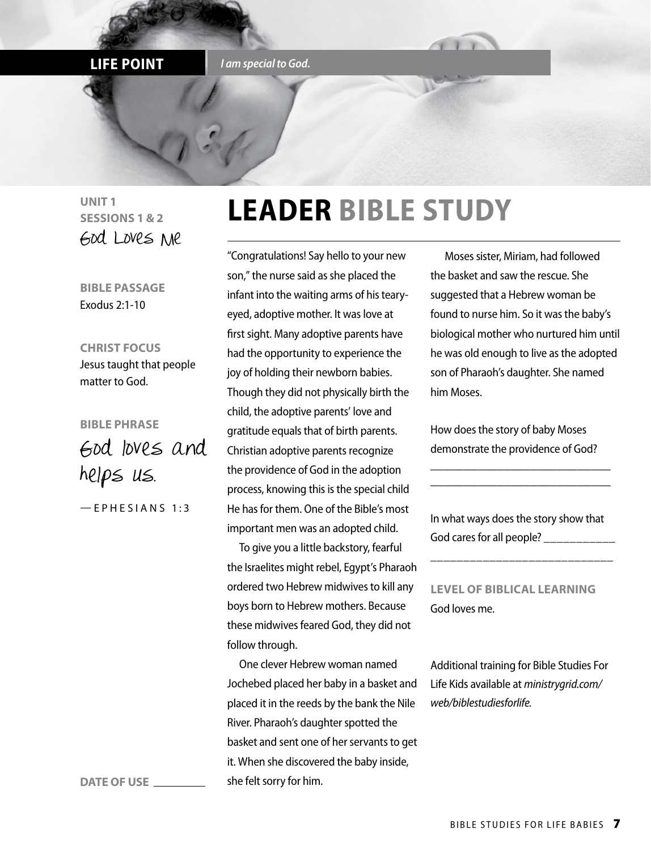#### **LIFE POINT** *I am special to God.*

**UNIT 1 SESSIONS 1 & 2** God Loves Me

**BIBLE PASSAGE** Exodus 2:1-10

**CHRIST FOCUS** Jesus taught that people matter to God.

**BIBLE PHRASE** God loves and helps us.

 $-$  E P H E S I A N S 1:3

# **LEADER BIBLE STUDY**

"Congratulations! Say hello to your new son," the nurse said as she placed the infant into the waiting arms of his tearyeyed, adoptive mother. It was love at first sight. Many adoptive parents have had the opportunity to experience the joy of holding their newborn babies. Though they did not physically birth the child, the adoptive parents' love and gratitude equals that of birth parents. Christian adoptive parents recognize the providence of God in the adoption process, knowing this is the special child He has for them. One of the Bible's most important men was an adopted child.

To give you a little backstory, fearful the Israelites might rebel, Egypt's Pharaoh ordered two Hebrew midwives to kill any boys born to Hebrew mothers. Because these midwives feared God, they did not follow through.

One clever Hebrew woman named Jochebed placed her baby in a basket and placed it in the reeds by the bank the Nile River. Pharaoh's daughter spotted the basket and sent one of her servants to get it. When she discovered the baby inside, she felt sorry for him.

 Moses sister, Miriam, had followed the basket and saw the rescue. She suggested that a Hebrew woman be found to nurse him. So it was the baby's biological mother who nurtured him until he was old enough to live as the adopted son of Pharaoh's daughter. She named him Moses.

How does the story of baby Moses demonstrate the providence of God?

\_\_\_\_\_\_\_\_\_\_\_\_\_\_\_\_\_\_\_\_\_\_\_\_\_\_\_ \_\_\_\_\_\_\_\_\_\_\_\_\_\_\_\_\_\_\_\_\_\_\_\_\_\_\_

In what ways does the story show that God cares for all people?

\_\_\_\_\_\_\_\_\_\_\_\_\_\_\_\_\_\_\_\_\_\_\_\_\_\_\_\_

**LEVEL OF BIBLICAL LEARNING** God loves me.

Additional training for Bible Studies For Life Kids available at *ministrygrid.com/ web/biblestudiesforlife.*

**DATE OF USE**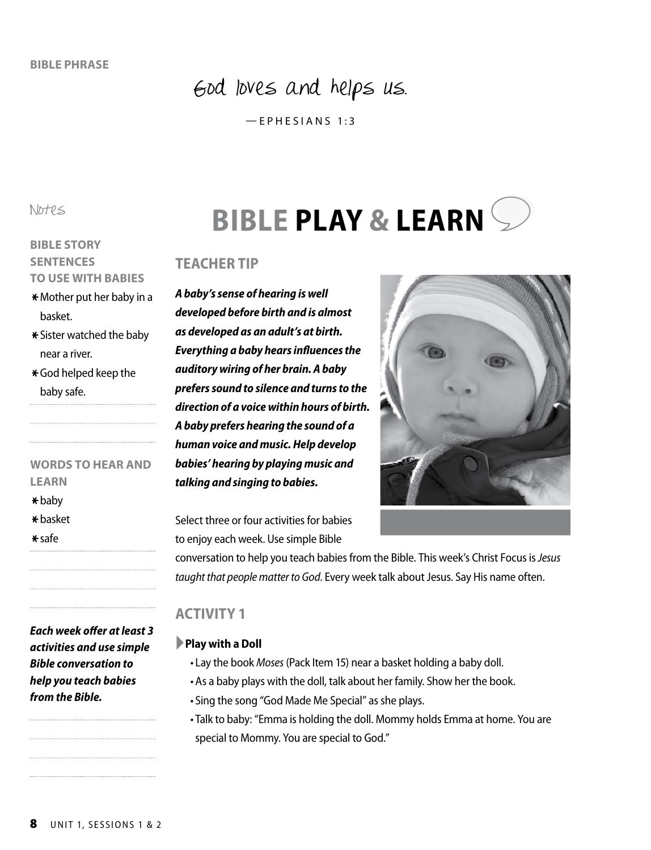## God loves and helps us.

—EPHESIANS 1:3

Notes

#### **BIBLE STORY SENTENCES TO USE WITH BABIES**

- $*$  Mother put her baby in a basket.
- $\star$  Sister watched the baby near a river.
- \*God helped keep the baby safe.

# **WORDS TO HEAR AND**

- \*baby
- \*basket
- \*safe

- 
- 
- **LEARN**
- 
- 
- 

*Each week offer at least 3 activities and use simple Bible conversation to help you teach babies from the Bible.*

# **BIBLE PLAY & LEARN**

#### **TEACHER TIP**

*A baby's sense of hearing is well developed before birth and is almost as developed as an adult's at birth. Everything a baby hears influences the auditory wiring of her brain. A baby prefers sound to silence and turns to the direction of a voice within hours of birth. A baby prefers hearing the sound of a human voice and music. Help develop babies' hearing by playing music and talking and singing to babies.*

Select three or four activities for babies to enjoy each week. Use simple Bible

conversation to help you teach babies from the Bible. This week's Christ Focus is *Jesus taught that people matter to God*. Every week talk about Jesus. Say His name often.

### **ACTIVITY 1**

#### ►**Play with a Doll**

- •• Lay the book *Moses* (Pack Item 15) near a basket holding a baby doll.
- As a baby plays with the doll, talk about her family. Show her the book.
- •• Sing the song "God Made Me Special" as she plays.
- •• Talk to baby: "Emma is holding the doll. Mommy holds Emma at home. You are special to Mommy. You are special to God."

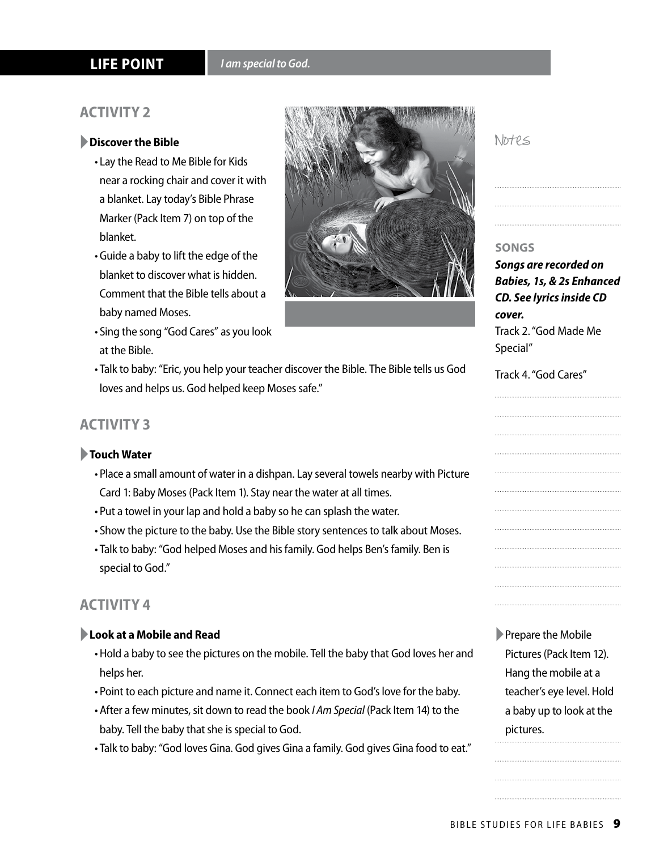#### **ACTIVITY 2**

#### ►**Discover the Bible**

- •• Lay the Read to Me Bible for Kids near a rocking chair and cover it with a blanket. Lay today's Bible Phrase Marker (Pack Item 7) on top of the blanket.
- •• Guide a baby to lift the edge of the blanket to discover what is hidden. Comment that the Bible tells about a baby named Moses.
- •• Sing the song "God Cares" as you look at the Bible.
- •• Talk to baby: "Eric, you help your teacher discover the Bible. The Bible tells us God loves and helps us. God helped keep Moses safe."

#### **ACTIVITY 3**

#### ►**Touch Water**

- •• Place a small amount of water in a dishpan. Lay several towels nearby with Picture Card 1: Baby Moses (Pack Item 1). Stay near the water at all times.
- •• Put a towel in your lap and hold a baby so he can splash the water.
- •• Show the picture to the baby. Use the Bible story sentences to talk about Moses.
- •• Talk to baby: "God helped Moses and his family. God helps Ben's family. Ben is special to God."

#### **ACTIVITY 4**

#### ►**Look at a Mobile and Read**

- •• Hold a baby to see the pictures on the mobile. Tell the baby that God loves her and helps her.
- •• Point to each picture and name it. Connect each item to God's love for the baby.
- •• After a few minutes, sit down to read the book *I Am Special* (Pack Item 14) to the baby. Tell the baby that she is special to God.
- •• Talk to baby: "God loves Gina. God gives Gina a family. God gives Gina food to eat."

## Notes

#### **SONGS**

*Songs are recorded on Babies, 1s, & 2s Enhanced CD. See lyrics inside CD cover.* Track 2. "God Made Me Special"

#### Track 4. "God Cares"

►Prepare the Mobile Pictures (Pack Item 12). Hang the mobile at a teacher's eye level. Hold a baby up to look at the pictures.